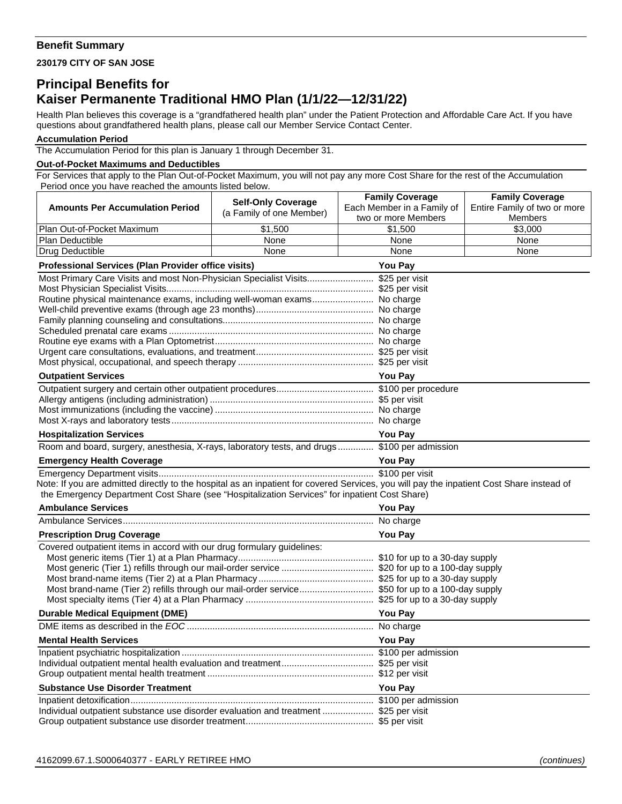## **Benefit Summary**

**230179 CITY OF SAN JOSE** 

## **Principal Benefits for Kaiser Permanente Traditional HMO Plan (1/1/22—12/31/22)**

Health Plan believes this coverage is a "grandfathered health plan" under the Patient Protection and Affordable Care Act. If you have questions about grandfathered health plans, please call our Member Service Contact Center.

## **Accumulation Period**

The Accumulation Period for this plan is January 1 through December 31.

## **Out-of-Pocket Maximums and Deductibles**

For Services that apply to the Plan Out-of-Pocket Maximum, you will not pay any more Cost Share for the rest of the Accumulation Period once you have reached the amounts listed below.

|                                                                                                                                                          | <b>Self-Only Coverage</b> | <b>Family Coverage</b>                            | <b>Family Coverage</b>                         |  |
|----------------------------------------------------------------------------------------------------------------------------------------------------------|---------------------------|---------------------------------------------------|------------------------------------------------|--|
| <b>Amounts Per Accumulation Period</b>                                                                                                                   | (a Family of one Member)  | Each Member in a Family of<br>two or more Members | Entire Family of two or more<br><b>Members</b> |  |
| Plan Out-of-Pocket Maximum                                                                                                                               | \$1,500                   | \$1,500                                           | \$3,000                                        |  |
| Plan Deductible                                                                                                                                          | None                      | None                                              | None                                           |  |
| <b>Drug Deductible</b>                                                                                                                                   | None                      | None                                              | None                                           |  |
| <b>Professional Services (Plan Provider office visits)</b><br>You Pay                                                                                    |                           |                                                   |                                                |  |
| Most Primary Care Visits and most Non-Physician Specialist Visits \$25 per visit                                                                         |                           |                                                   |                                                |  |
|                                                                                                                                                          |                           |                                                   |                                                |  |
| Routine physical maintenance exams, including well-woman exams No charge                                                                                 |                           |                                                   |                                                |  |
|                                                                                                                                                          |                           |                                                   |                                                |  |
|                                                                                                                                                          |                           |                                                   |                                                |  |
|                                                                                                                                                          |                           |                                                   |                                                |  |
|                                                                                                                                                          |                           |                                                   |                                                |  |
|                                                                                                                                                          |                           |                                                   |                                                |  |
| <b>Outpatient Services</b>                                                                                                                               |                           | <b>You Pay</b>                                    |                                                |  |
|                                                                                                                                                          |                           |                                                   |                                                |  |
|                                                                                                                                                          |                           |                                                   |                                                |  |
|                                                                                                                                                          |                           |                                                   |                                                |  |
|                                                                                                                                                          |                           |                                                   |                                                |  |
| <b>Hospitalization Services</b>                                                                                                                          |                           |                                                   | <b>You Pay</b>                                 |  |
| Room and board, surgery, anesthesia, X-rays, laboratory tests, and drugs \$100 per admission                                                             |                           |                                                   |                                                |  |
| <b>Emergency Health Coverage</b><br><u> 1980 - Johann Barn, amerikan besteman besteman besteman besteman besteman besteman besteman besteman bestema</u> |                           | <b>You Pay</b>                                    |                                                |  |
|                                                                                                                                                          |                           |                                                   |                                                |  |
| Note: If you are admitted directly to the hospital as an inpatient for covered Services, you will pay the inpatient Cost Share instead of                |                           |                                                   |                                                |  |
| the Emergency Department Cost Share (see "Hospitalization Services" for inpatient Cost Share)                                                            |                           |                                                   |                                                |  |
| <b>Ambulance Services</b>                                                                                                                                |                           | <b>You Pay</b>                                    |                                                |  |
|                                                                                                                                                          |                           |                                                   |                                                |  |
| <b>You Pay</b><br><b>Prescription Drug Coverage</b><br>Covered outpatient items in accord with our drug formulary guidelines:                            |                           |                                                   |                                                |  |
|                                                                                                                                                          |                           |                                                   |                                                |  |
|                                                                                                                                                          |                           |                                                   |                                                |  |
|                                                                                                                                                          |                           |                                                   |                                                |  |
| Most brand-name (Tier 2) refills through our mail-order service \$50 for up to a 100-day supply                                                          |                           |                                                   |                                                |  |
|                                                                                                                                                          |                           |                                                   |                                                |  |
| <b>Durable Medical Equipment (DME)</b>                                                                                                                   |                           | <b>You Pay</b>                                    |                                                |  |
|                                                                                                                                                          |                           |                                                   |                                                |  |
| <b>Mental Health Services</b>                                                                                                                            |                           | You Pay                                           |                                                |  |
|                                                                                                                                                          |                           |                                                   |                                                |  |
|                                                                                                                                                          |                           |                                                   |                                                |  |
|                                                                                                                                                          |                           |                                                   |                                                |  |
| <b>Substance Use Disorder Treatment</b>                                                                                                                  |                           | <b>You Pay</b>                                    |                                                |  |
|                                                                                                                                                          |                           |                                                   |                                                |  |
| Individual outpatient substance use disorder evaluation and treatment  \$25 per visit                                                                    |                           |                                                   |                                                |  |
|                                                                                                                                                          |                           |                                                   |                                                |  |